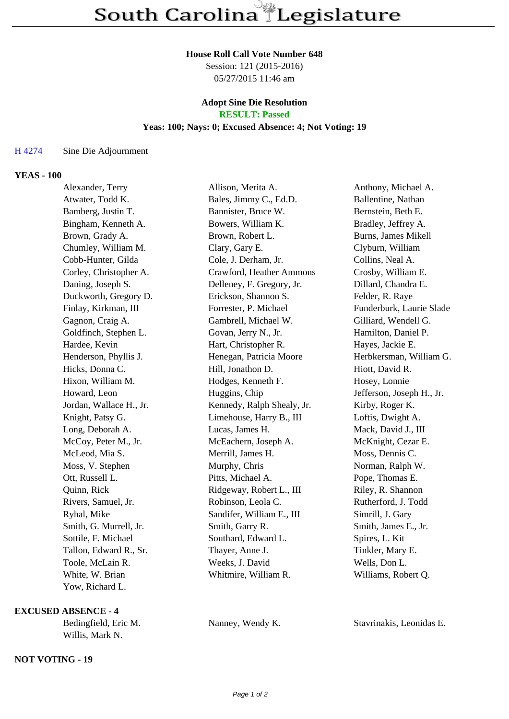#### **House Roll Call Vote Number 648**

Session: 121 (2015-2016) 05/27/2015 11:46 am

# **Adopt Sine Die Resolution**

# **RESULT: Passed**

## **Yeas: 100; Nays: 0; Excused Absence: 4; Not Voting: 19**

#### H 4274 Sine Die Adjournment

#### **YEAS - 100**

| Alexander, Terry        | Allison, Merita A.         | Anthony, Michael A.       |
|-------------------------|----------------------------|---------------------------|
| Atwater, Todd K.        | Bales, Jimmy C., Ed.D.     | Ballentine, Nathan        |
| Bamberg, Justin T.      | Bannister, Bruce W.        | Bernstein, Beth E.        |
| Bingham, Kenneth A.     | Bowers, William K.         | Bradley, Jeffrey A.       |
| Brown, Grady A.         | Brown, Robert L.           | Burns, James Mikell       |
| Chumley, William M.     | Clary, Gary E.             | Clyburn, William          |
| Cobb-Hunter, Gilda      | Cole, J. Derham, Jr.       | Collins, Neal A.          |
| Corley, Christopher A.  | Crawford, Heather Ammons   | Crosby, William E.        |
| Daning, Joseph S.       | Delleney, F. Gregory, Jr.  | Dillard, Chandra E.       |
| Duckworth, Gregory D.   | Erickson, Shannon S.       | Felder, R. Raye           |
| Finlay, Kirkman, III    | Forrester, P. Michael      | Funderburk, Laurie Slade  |
| Gagnon, Craig A.        | Gambrell, Michael W.       | Gilliard, Wendell G.      |
| Goldfinch, Stephen L.   | Govan, Jerry N., Jr.       | Hamilton, Daniel P.       |
| Hardee, Kevin           | Hart, Christopher R.       | Hayes, Jackie E.          |
| Henderson, Phyllis J.   | Henegan, Patricia Moore    | Herbkersman, William G.   |
| Hicks, Donna C.         | Hill, Jonathon D.          | Hiott, David R.           |
| Hixon, William M.       | Hodges, Kenneth F.         | Hosey, Lonnie             |
| Howard, Leon            | Huggins, Chip              | Jefferson, Joseph H., Jr. |
| Jordan, Wallace H., Jr. | Kennedy, Ralph Shealy, Jr. | Kirby, Roger K.           |
| Knight, Patsy G.        | Limehouse, Harry B., III   | Loftis, Dwight A.         |
| Long, Deborah A.        | Lucas, James H.            | Mack, David J., III       |
| McCoy, Peter M., Jr.    | McEachern, Joseph A.       | McKnight, Cezar E.        |
| McLeod, Mia S.          | Merrill, James H.          | Moss, Dennis C.           |
| Moss, V. Stephen        | Murphy, Chris              | Norman, Ralph W.          |
| Ott, Russell L.         | Pitts, Michael A.          | Pope, Thomas E.           |
| Quinn, Rick             | Ridgeway, Robert L., III   | Riley, R. Shannon         |
| Rivers, Samuel, Jr.     | Robinson, Leola C.         | Rutherford, J. Todd       |
| Ryhal, Mike             | Sandifer, William E., III  | Simrill, J. Gary          |
| Smith, G. Murrell, Jr.  | Smith, Garry R.            | Smith, James E., Jr.      |
| Sottile, F. Michael     | Southard, Edward L.        | Spires, L. Kit            |
| Tallon, Edward R., Sr.  | Thayer, Anne J.            | Tinkler, Mary E.          |
| Toole, McLain R.        | Weeks, J. David            | Wells, Don L.             |
| White, W. Brian         | Whitmire, William R.       | Williams, Robert Q.       |
| Yow, Richard L.         |                            |                           |

### **EXCUSED ABSENCE - 4**

| Bedingfield, Eric M. | Nanney, Wendy K. | Stavrinaki |
|----------------------|------------------|------------|
| Willis, Mark N.      |                  |            |

#### **NOT VOTING - 19**

is, Leonidas E.